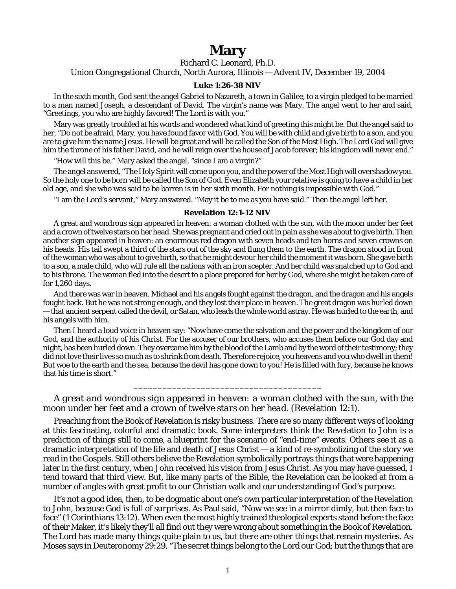## **Mary**

Richard C. Leonard, Ph.D.

Union Congregational Church, North Aurora, Illinois — Advent IV, December 19, 2004

## **Luke 1:26-38 NIV**

In the sixth month, God sent the angel Gabriel to Nazareth, a town in Galilee, to a virgin pledged to be married to a man named Joseph, a descendant of David. The virgin's name was Mary. The angel went to her and said, "Greetings, you who are highly favored! The Lord is with you."

Mary was greatly troubled at his words and wondered what kind of greeting this might be. But the angel said to her, "Do not be afraid, Mary, you have found favor with God. You will be with child and give birth to a son, and you are to give him the name Jesus. He will be great and will be called the Son of the Most High. The Lord God will give him the throne of his father David, and he will reign over the house of Jacob forever; his kingdom will never end."

"How will this be," Mary asked the angel, "since I am a virgin?"

The angel answered, "The Holy Spirit will come upon you, and the power of the Most High will overshadow you. So the holy one to be born will be called the Son of God. Even Elizabeth your relative is going to have a child in her old age, and she who was said to be barren is in her sixth month. For nothing is impossible with God."

"I am the Lord's servant," Mary answered. "May it be to me as you have said." Then the angel left her.

## **Revelation 12:1-12 NIV**

A great and wondrous sign appeared in heaven: a woman clothed with the sun, with the moon under her feet and a crown of twelve stars on her head. She was pregnant and cried out in pain as she was about to give birth. Then another sign appeared in heaven: an enormous red dragon with seven heads and ten horns and seven crowns on his heads. His tail swept a third of the stars out of the sky and flung them to the earth. The dragon stood in front of the woman who was about to give birth, so that he might devour her child the moment it was born. She gave birth to a son, a male child, who will rule all the nations with an iron scepter. And her child was snatched up to God and to his throne. The woman fled into the desert to a place prepared for her by God, where she might be taken care of for 1,260 days.

And there was war in heaven. Michael and his angels fought against the dragon, and the dragon and his angels fought back. But he was not strong enough, and they lost their place in heaven. The great dragon was hurled down — that ancient serpent called the devil, or Satan, who leads the whole world astray. He was hurled to the earth, and his angels with him.

Then I heard a loud voice in heaven say: "Now have come the salvation and the power and the kingdom of our God, and the authority of his Christ. For the accuser of our brothers, who accuses them before our God day and night, has been hurled down. They overcame him by the blood of the Lamb and by the word of their testimony; they did not love their lives so much as to shrink from death. Therefore rejoice, you heavens and you who dwell in them! But woe to the earth and the sea, because the devil has gone down to you! He is filled with fury, because he knows that his time is short."

*A great and wondrous sign appeared in heaven: a woman clothed with the sun, with the moon under her feet and a crown of twelve stars on her head.* (Revelation 12:1).

\_\_\_\_\_\_\_\_\_\_\_\_\_\_\_\_\_\_\_\_\_\_\_\_\_\_\_\_\_\_\_\_\_\_\_\_\_\_\_

Preaching from the Book of Revelation is risky business. There are so many different ways of looking at this fascinating, colorful and dramatic book. Some interpreters think the Revelation to John is a prediction of things still to come, a blueprint for the scenario of "end-time" events. Others see it as a dramatic interpretation of the life and death of Jesus Christ — a kind of re-symbolizing of the story we read in the Gospels. Still others believe the Revelation symbolically portrays things that were happening later in the first century, when John received his vision from Jesus Christ. As you may have guessed, I tend toward that third view. But, like many parts of the Bible, the Revelation can be looked at from a number of angles with great profit to our Christian walk and our understanding of God's purpose.

It's not a good idea, then, to be dogmatic about one's own particular interpretation of the Revelation to John, because *God is full of surprises.* As Paul said, "Now we see in a mirror dimly, but then face to face" (1 Corinthians 13:12). When even the most highly trained theological experts stand before the face of their Maker, it's likely they'll all find out they were wrong about something in the Book of Revelation. The Lord has made many things quite plain to us, but there are other things that remain mysteries. As Moses says in Deuteronomy 29:29, "The secret things belong to the Lord our God; but the things that are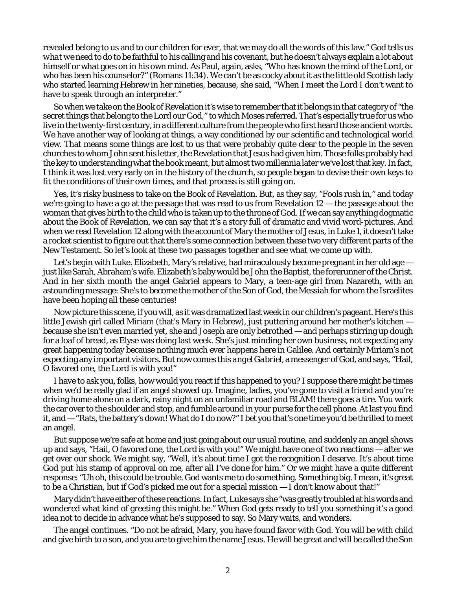revealed belong to us and to our children for ever, that we may do all the words of this law." God tells us *what we need to do* to be faithful to his calling and his covenant, but he doesn't always explain a lot about himself or what goes on in his own mind. As Paul, again, asks, "Who has known the mind of the Lord, or who has been his counselor?" (Romans 11:34). We can't be as cocky about it as the little old Scottish lady who started learning Hebrew in her nineties, because, she said, "When I meet the Lord I don't want to have to speak through an interpreter."

So when we take on the Book of Revelation it's wise to remember that it belongs in that category of "the secret things that belong to the Lord our God," to which Moses referred. That's especially true for us who live in the twenty-first century, in a different culture from the people who first heard those ancient words. We have another way of looking at things, a way conditioned by our scientific and technological world view. That means some things are *lost to us* that were probably quite clear to the people in the seven churches to whom John sent his letter, the Revelation that Jesus had given him. Those folks probably had the key to understanding what the book meant, but almost two millennia later we've lost that key. In fact, I think it was lost very early on in the history of the church, so people began to devise their own keys to fit the conditions of their own times, and that process is still going on.

Yes, it's risky business to take on the Book of Revelation. But, as they say, "Fools rush in," and today we're going to have a go at the passage that was read to us from Revelation 12 — the passage about the woman that gives birth to the child who is taken up to the throne of God. If we can say anything dogmatic about the Book of Revelation, we can say that it's a story full of dramatic and vivid word-pictures. And when we read Revelation 12 along with the account of Mary the mother of Jesus, in Luke 1, it doesn't take a rocket scientist to figure out that there's some connection between these two very different parts of the New Testament. So let's look at these two passages together and see what we come up with.

Let's begin with Luke. Elizabeth, Mary's relative, had miraculously become pregnant in her old age  $$ just like Sarah, Abraham's wife. Elizabeth's baby would be John the Baptist, the forerunner of the Christ. And in her sixth month the angel Gabriel appears to Mary, a teen-age girl from Nazareth, with an astounding message: She's to become the mother of the Son of God, the Messiah for whom the Israelites have been hoping all these centuries!

Now picture this scene, if you will, as it was dramatized last week in our children's pageant. Here's this little Jewish girl called Miriam (that's Mary in Hebrew), just puttering around her mother's kitchen because she isn't even married yet, she and Joseph are only betrothed — and perhaps stirring up dough for a loaf of bread, as Elyse was doing last week. She's just minding her own business, not expecting any great happening today because nothing much ever happens here in Galilee. And certainly Miriam's not expecting any important visitors. But now comes this *angel Gabriel*, a messenger of God, and says, "Hail, O favored one, the Lord is with you!"

I have to ask you, folks, how would you react if this happened to you? I suppose there might be times when we'd be really glad if an angel showed up. Imagine, ladies, you've gone to visit a friend and you're driving home alone on a dark, rainy night on an unfamiliar road and *BLAM!* there goes a tire. You work the car over to the shoulder and stop, and fumble around in your purse for the cell phone. At last you find it, and — "Rats, the battery's down! What do I do now?" I bet you that's one time you'd be thrilled to meet an angel.

But suppose we're safe at home and just going about our usual routine, and suddenly an angel shows up and says, "Hail, O favored one, the Lord is with you!" We might have one of two reactions — after we get over our shock. We might say, "Well, it's about time I got the recognition I deserve. It's about time God put his stamp of approval on me, after all I've done for him." Or we might have a quite different response: "Uh oh, this could be trouble. God wants me to do something. Something big. I mean, it's great to be a Christian, but if God's picked *me* out for a special mission — I don't know about that!"

Mary didn't have either of these reactions. In fact, Luke says she "was greatly troubled at his words and *wondered* what kind of greeting this might be." When God gets ready to tell you something it's a good idea not to decide in advance what he's supposed to say. So Mary waits, and wonders.

The angel continues. "Do not be afraid, Mary, you have found favor with God. You will be with child and give birth to a son, and you are to give him the name Jesus. He will be great and will be called the Son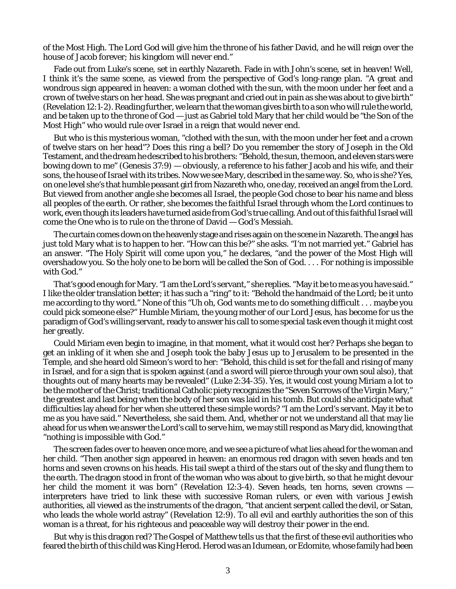of the Most High. The Lord God will give him the throne of his father David, and he will reign over the house of Jacob forever; his kingdom will never end."

Fade out from Luke's scene, set in earthly Nazareth. Fade in with John's scene, set in *heaven!* Well, I think it's the same scene, as viewed from the perspective of God's long-range plan. "A great and wondrous sign appeared in heaven: a woman clothed with the sun, with the moon under her feet and a crown of twelve stars on her head. She was pregnant and cried out in pain as she was about to give birth" (Revelation 12:1-2). Reading further, we learn that the woman gives birth to a son who will rule the world, and be taken up to the throne of God — just as Gabriel told Mary that her child would be "the Son of the Most High" who would rule over Israel in a reign that would never end.

But who is this mysterious woman, "clothed with the sun, with the moon under her feet and a crown of twelve stars on her head"? Does this ring a bell? Do you remember the story of Joseph in the Old Testament, and the dream he described to his brothers: "Behold, the sun, the moon, and eleven stars were bowing down to me" (Genesis 37:9) — obviously, a reference to his father Jacob and his wife, and their sons, the house of Israel with its tribes. Now we see Mary, described in the same way. So, who is she? Yes, on one level she's that humble peasant girl from Nazareth who, one day, received an angel from the Lord. But viewed from another angle she becomes all Israel, the people God chose to bear his name and bless all peoples of the earth. Or rather, she becomes the *faithful* Israel through whom the Lord continues to work, even though its leaders have turned aside from God's true calling. And out of this faithful Israel will come the One who is to rule on the throne of David — God's Messiah.

The curtain comes down on the heavenly stage and rises again on the scene in Nazareth. The angel has just told Mary what is to happen to her. "How can this be?" she asks. "I'm not married yet." Gabriel has an answer. "The Holy Spirit will come upon you," he declares, "and the power of the Most High will overshadow you. So the holy one to be born will be called the Son of God. . . . For nothing is impossible with God."

That's good enough for Mary. "I am the Lord's servant," she replies. "May it be to me as you have said." I like the older translation better; it has such a "ring" to it: "Behold the handmaid of the Lord; be it unto me according to thy word." None of this "Uh oh, God wants me to do something difficult . . . maybe you could pick someone else?" Humble Miriam, the young mother of our Lord Jesus, has become for us the paradigm of God's willing servant, ready to answer his call to some special task even though it might cost her greatly.

Could Miriam even begin to imagine, in that moment, what it would cost her? Perhaps she began to get an inkling of it when she and Joseph took the baby Jesus up to Jerusalem to be presented in the Temple, and she heard old Simeon's word to her: "Behold, this child is set for the fall and rising of many in Israel, and for a sign that is spoken against (and a sword will pierce through your own soul also), that thoughts out of many hearts may be revealed" (Luke 2:34-35). Yes, it would cost young Miriam a lot to be the mother of the Christ; traditional Catholic piety recognizes the "Seven Sorrows of the Virgin Mary," the greatest and last being when the body of her son was laid in his tomb. But could she anticipate what difficulties lay ahead for her when she uttered these simple words? "I am the Lord's servant. May it be to me as you have said." Nevertheless, she *said* them. And, whether or not we understand all that may lie ahead for us when we answer the Lord's call to serve him, we may still respond as Mary did, knowing that "nothing is impossible with God."

The screen fades over to heaven once more, and we see a picture of what lies ahead for the woman and her child. "Then another sign appeared in heaven: an enormous red dragon with seven heads and ten horns and seven crowns on his heads. His tail swept a third of the stars out of the sky and flung them to the earth. The dragon stood in front of the woman who was about to give birth, so that he might devour her child the moment it was born" (Revelation 12:3-4). Seven heads, ten horns, seven crowns interpreters have tried to link these with successive Roman rulers, or even with various Jewish authorities, all viewed as the instruments of the dragon, "that ancient serpent called the devil, or Satan, who leads the whole world astray" (Revelation 12:9). To all evil and earthly authorities the son of this woman is a threat, for his righteous and peaceable way will destroy their power in the end.

But why is this dragon *red?* The Gospel of Matthew tells us that the first of these evil authorities who feared the birth of this child was King Herod. Herod was an Idumean, or Edomite, whose family had been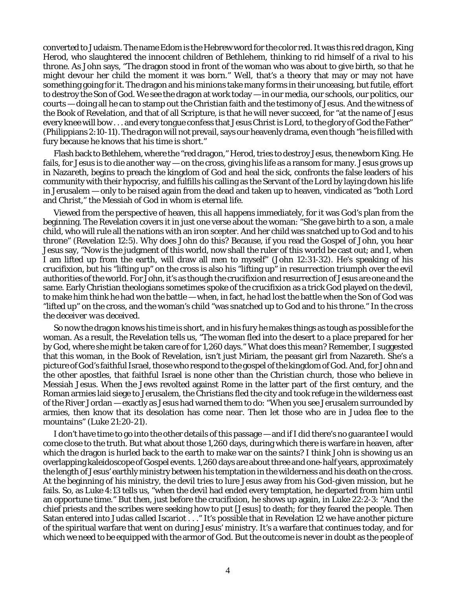converted to Judaism. The name *Edom* is the Hebrew word for the color red. It was this *red dragon*, King Herod, who slaughtered the innocent children of Bethlehem, thinking to rid himself of a rival to his throne. As John says, "The dragon stood in front of the woman who was about to give birth, so that he might devour her child the moment it was born." Well, that's a theory that may or may not have something going for it. The dragon and his minions take many forms in their unceasing, but futile, effort to destroy the Son of God. We see the dragon at work today — in our media, our schools, our politics, our courts — doing all he can to stamp out the Christian faith and the testimony of Jesus. And the witness of the Book of Revelation, and that of all Scripture, is that he will never succeed, for "at the name of Jesus every knee will bow . . . and every tongue confess that Jesus Christ is Lord, to the glory of God the Father" (Philippians 2:10-11). The dragon will not prevail, says our heavenly drama, even though "he is filled with fury because he knows that his time is short."

Flash back to Bethlehem, where the "red dragon," Herod, tries to destroy Jesus, the newborn King. He fails, for Jesus is to die another way — on the cross, giving his life as a ransom for many. Jesus grows up in Nazareth, begins to preach the kingdom of God and heal the sick, confronts the false leaders of his community with their hypocrisy, and fulfills his calling as the Servant of the Lord by laying down his life in Jerusalem — only to be raised again from the dead and taken up to heaven, vindicated as "both Lord and Christ," the Messiah of God in whom is eternal life.

Viewed from the perspective of heaven, this all happens immediately, for it was God's plan from the beginning. The Revelation covers it in just one verse about the woman: "She gave birth to a son, a male child, who will rule all the nations with an iron scepter. And her child was snatched up to God and to his throne" (Revelation 12:5). Why does John do this? Because, if you read the Gospel of John, you hear Jesus say, "Now is the judgment of this world, now shall the ruler of this world be cast out; and I, when I am lifted up from the earth, will draw all men to myself" (John 12:31-32). He's speaking of his *crucifixion*, but his "lifting up" on the cross is also his "lifting up" in *resurrection triumph* over the evil authorities of the world. For John, it's as though the crucifixion and resurrection of Jesus are one and the same. Early Christian theologians sometimes spoke of the crucifixion as a trick God played on the devil, to make him think he had won the battle — when, in fact, he had lost the battle when the Son of God was "lifted up" on the cross, and the woman's child "was snatched up to God and to his throne." In the cross *the deceiver was deceived*.

So now the dragon knows his time is short, and in his fury he makes things as tough as possible for the woman. As a result, the Revelation tells us, "The woman fled into the desert to a place prepared for her by God, where she might be taken care of for 1,260 days." What does *this* mean? Remember, I suggested that this woman, in the Book of Revelation, isn't just Miriam, the peasant girl from Nazareth. She's a picture of God's faithful Israel, those who respond to the gospel of the kingdom of God. And, for John and the other apostles, that faithful Israel is none other than the Christian church, those who believe in Messiah Jesus. When the Jews revolted against Rome in the latter part of the first century, and the Roman armies laid siege to Jerusalem, the Christians fled the city and took refuge in the wilderness east of the River Jordan — exactly as Jesus had warned them to do: "When you see Jerusalem surrounded by armies, then know that its desolation has come near. Then let those who are in Judea flee to the mountains" (Luke 21:20-21).

I don't have time to go into the other details of this passage — and if I did there's no guarantee I would come close to the truth. But what about those 1,260 days, during which there is warfare in heaven, after which the dragon is hurled back to the earth to make war on the saints? I think John is showing us an overlapping kaleidoscope of Gospel events. 1,260 days are about three and one-half years, approximately the length of Jesus' earthly ministry between his temptation in the wilderness and his death on the cross. At the beginning of his ministry, the devil tries to lure Jesus away from his God-given mission, but he fails. So, as Luke 4:13 tells us, "when the devil had ended every temptation, he departed from him until an opportune time." But then, just before the crucifixion, he shows up again, in Luke 22:2-3: "And the chief priests and the scribes were seeking how to put [Jesus] to death; for they feared the people. Then Satan entered into Judas called Iscariot . . ." It's possible that in Revelation 12 we have another picture of the spiritual warfare that went on during Jesus' ministry. It's a warfare that continues today, and for which we need to be equipped with the armor of God. But the outcome is never in doubt as the people of